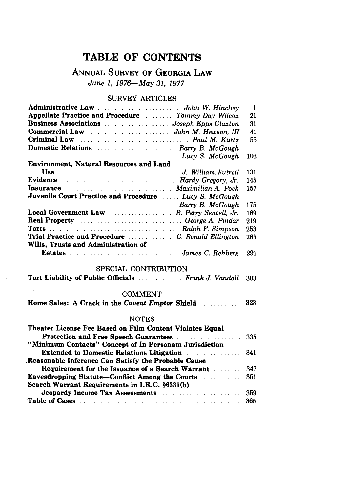# TABLE OF **CONTENTS**

## **ANNUAL** SURVEY OF **GEORGIA** LAW *June 1, 1976-May 31, 1977*

#### SURVEY ARTICLES

|                                                        | -1  |
|--------------------------------------------------------|-----|
| Appellate Practice and Procedure  Tommy Day Wilcox     | 21  |
|                                                        | 31  |
|                                                        | 41  |
|                                                        | 55  |
| Domestic Relations  Barry B. McGough                   |     |
| Lucy S. McGough                                        | 103 |
| <b>Environment, Natural Resources and Land</b>         |     |
|                                                        | 131 |
| Evidence  Hardy Gregory, Jr.                           | 145 |
| Insurance  Maximilian A. Pock                          | 157 |
| Juvenile Court Practice and Procedure  Lucy S. McGough |     |
| Barry B. McGough                                       | 175 |
| Local Government Law  R. Perry Sentell, Jr.            | 189 |
| <b>Real Property</b> George A. Pindar                  | 219 |
|                                                        | 253 |
| Trial Practice and Procedure  C. Ronald Ellington      | 265 |
| Wills, Trusts and Administration of                    |     |
|                                                        | 291 |

### SPECIAL CONTRIBUTION

| Tort Liability of Public Officials  Frank J. Vandall 303 |  |  |
|----------------------------------------------------------|--|--|
|----------------------------------------------------------|--|--|

 $\sim$   $\sim$ 

#### COMMENT

|  |  |  | Home Sales: A Crack in the Caveat Emptor Shield | 323 |
|--|--|--|-------------------------------------------------|-----|

#### **NOTES**

| Theater License Fee Based on Film Content Violates Equal    |  |
|-------------------------------------------------------------|--|
|                                                             |  |
| "Minimum Contacts" Concept of In Personam Jurisdiction      |  |
| <b>Extended to Domestic Relations Litigation Manual</b> 341 |  |
| Reasonable Inference Can Satisfy the Probable Cause         |  |
| Requirement for the Issuance of a Search Warrant  347       |  |
|                                                             |  |
| Search Warrant Requirements in I.R.C. §6331(b)              |  |
|                                                             |  |
|                                                             |  |